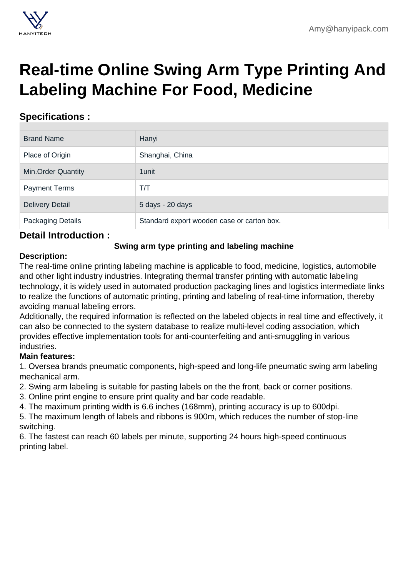# [Real-time Online Swing Arm Type Printing And](https://hanyipack.com/printing-and-labeling-machine/swing-arm-type-printing-and-labeling-machine.html) Labeling Machine For Food, Medicine

## Specifications :

| <b>Brand Name</b>         | Hanyi                                      |
|---------------------------|--------------------------------------------|
| Place of Origin           | Shanghai, China                            |
| <b>Min.Order Quantity</b> | 1 unit                                     |
| <b>Payment Terms</b>      | T/T                                        |
| <b>Delivery Detail</b>    | 5 days - 20 days                           |
| Packaging Details         | Standard export wooden case or carton box. |

### Detail Introduction :

Swing arm type printing and labeling machine

#### Description:

The real-time online printing labeling machine is applicable to food, medicine, logistics, automobile and other light industry industries. Integrating thermal transfer printing with automatic labeling technology, it is widely used in automated production packaging lines and logistics intermediate links to realize the functions of automatic printing, printing and labeling of real-time information, thereby avoiding manual labeling errors.

Additionally, the required information is reflected on the labeled objects in real time and effectively, it can also be connected to the system database to realize multi-level coding association, which provides effective implementation tools for anti-counterfeiting and anti-smuggling in various industries.

Main features:

1. Oversea brands pneumatic components, high-speed and long-life pneumatic swing arm labeling mechanical arm.

2. Swing arm labeling is suitable for pasting labels on the the front, back or corner positions.

3. Online print engine to ensure print quality and bar code readable.

4. The maximum printing width is 6.6 inches (168mm), printing accuracy is up to 600dpi.

5. The maximum length of labels and ribbons is 900m, which reduces the number of stop-line switching.

6. The fastest can reach 60 labels per minute, supporting 24 hours high-speed continuous printing label.